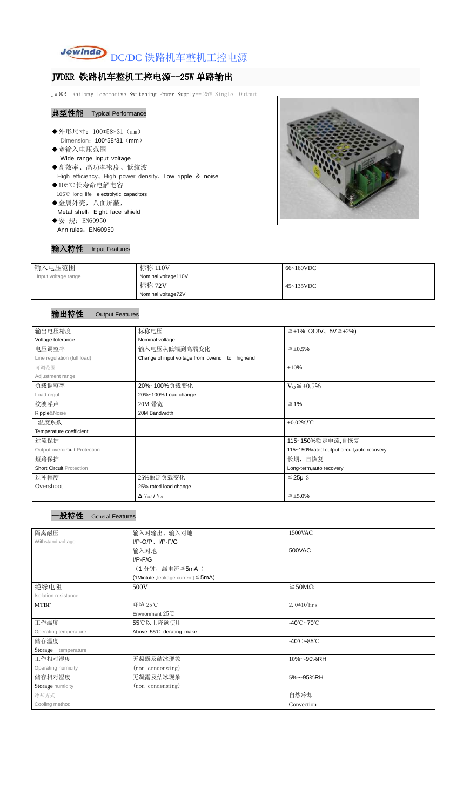

# JWDKR 铁路机车整机工控电源--25W 单路输出

JWDKR Railway locomotive Switching Power Supply-- 25W Single Output

## 典型性能 Typical Performance

- ◆外形尺寸: 100\*58\*31 (mm) Dimension: 100\*58\*31 (mm)
- ◆宽输入电压范围 Wide range input voltage ◆高效率、高功率密度、低纹波
- High efficiency、High power density、Low ripple & noise ◆105℃长寿命电解电容 105℃ long life electrolytic capacitors
- ◆金属外壳,八面屏蔽, Metal shell, Eight face shield ◆安 规: EN60950
- Ann rules: EN60950



### 输入特性 Input Features

| 输入电压范围              | 标称 110V             | 66~160VDC |
|---------------------|---------------------|-----------|
| Input voltage range | Nominal voltage110V |           |
|                     | 标称 72V              | 45~135VDC |
|                     | Nominal voltage72V  |           |

## 输出特性 Output Features

#### 一般特性 General Features

| 输出电压精度                          | 标称电压                                           | $\leq \pm 1\%$ (3.3V, 5V $\leq \pm 2\%$ ) |  |
|---------------------------------|------------------------------------------------|-------------------------------------------|--|
| Voltage tolerance               | Nominal voltage                                |                                           |  |
| 电压调整率                           | 输入电压从低端到高端变化                                   | $\leq \pm 0.5\%$                          |  |
| Line regulation (full load)     | Change of input voltage from lowend to highend |                                           |  |
| 可调范围                            |                                                | ±10%                                      |  |
| Adjustment range                |                                                |                                           |  |
| 负载调整率                           | 20%~100%负载变化                                   | $V_0 \leq \pm 0.5\%$                      |  |
| Load regul                      | 20%~100% Load change                           |                                           |  |
| 纹波噪声                            | 20M 带宽                                         | $\leq 1\%$                                |  |
| Ripple&Noise                    | 20M Bandwidth                                  |                                           |  |
| 温度系数                            |                                                | $±0.02\%$ /°C                             |  |
| Temperature coefficient         |                                                |                                           |  |
| 过流保护                            |                                                | 115~150%额定电流,自恢复                          |  |
| Output overcircuit Protection   | 115~150%rated output circuit, auto recovery    |                                           |  |
| 短路保护                            |                                                | 长期, 自恢复                                   |  |
| <b>Short Circuit Protection</b> |                                                | Long-term, auto recovery                  |  |
| 过冲幅度                            | 25%额定负载变化                                      | $≤25\mu$ S                                |  |
| Overshoot                       | 25% rated load change                          |                                           |  |
|                                 | $\Delta$ V <sub>01</sub> /V <sub>01</sub>      | $\leq \pm 5.0\%$                          |  |

| 隔离耐压                  | 输入对输出、输入对地<br>1500VAC                   |                                 |  |
|-----------------------|-----------------------------------------|---------------------------------|--|
| Withstand voltage     | $I/P$ -O/P, $I/P$ -F/G                  |                                 |  |
|                       | 输入对地                                    | 500VAC                          |  |
|                       | $I/P-F/G$                               |                                 |  |
|                       | (1分钟,漏电流≦5mA)                           |                                 |  |
|                       | (1Mintute, leakage current) $\leq$ 5mA) |                                 |  |
| 绝缘电阻                  | 500V                                    | $\geq$ 50M $\Omega$             |  |
| Isolation resistance  |                                         |                                 |  |
| <b>MTBF</b>           | 环境 25℃                                  | $2.0*105$ Hrs                   |  |
|                       | Environment 25℃                         |                                 |  |
| 工作温度                  | 55℃以上降额使用                               | $-40^{\circ}$ C $-70^{\circ}$ C |  |
| Operating temperature | Above 55°C derating make                |                                 |  |
| 储存温度                  |                                         | $-40^{\circ}$ C $-85^{\circ}$ C |  |
| Storage temperature   |                                         |                                 |  |
| 工作相对湿度                | 无凝露及结冰现象                                | 10%~-90%RH                      |  |
| Operating humidity    | (non condensing)                        |                                 |  |
| 储存相对湿度                | 无凝露及结冰现象                                | 5%~-95%RH                       |  |
| Storage humidity      | (non condensing)                        |                                 |  |
| 冷却方式                  |                                         | 自然冷却                            |  |
| Cooling method        |                                         | Convection                      |  |